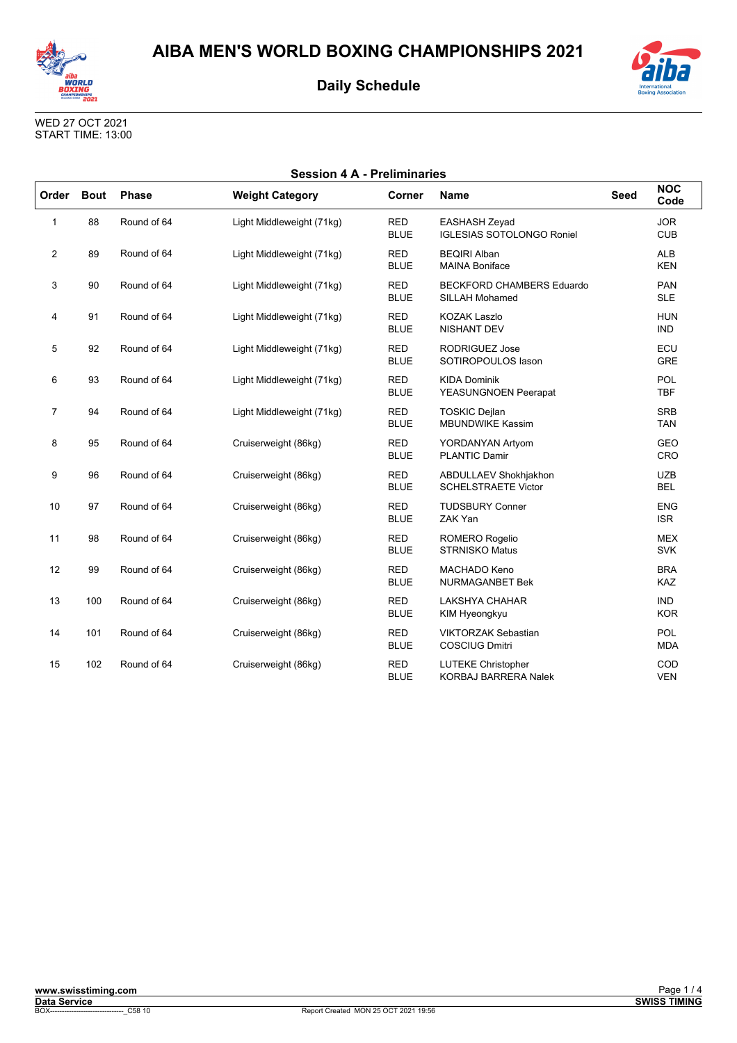



| <b>International</b> | <b>Boxing Association</b> |
|----------------------|---------------------------|

| <b>Session 4 A - Preliminaries</b> |             |              |                           |                           |                                                          |             |                          |
|------------------------------------|-------------|--------------|---------------------------|---------------------------|----------------------------------------------------------|-------------|--------------------------|
| Order                              | <b>Bout</b> | <b>Phase</b> | <b>Weight Category</b>    | Corner                    | <b>Name</b>                                              | <b>Seed</b> | <b>NOC</b><br>Code       |
| 1                                  | 88          | Round of 64  | Light Middleweight (71kg) | <b>RED</b><br><b>BLUE</b> | <b>EASHASH Zeyad</b><br><b>IGLESIAS SOTOLONGO Roniel</b> |             | <b>JOR</b><br><b>CUB</b> |
| $\overline{2}$                     | 89          | Round of 64  | Light Middleweight (71kg) | <b>RED</b><br><b>BLUE</b> | <b>BEQIRI Alban</b><br><b>MAINA Boniface</b>             |             | <b>ALB</b><br><b>KEN</b> |
| 3                                  | 90          | Round of 64  | Light Middleweight (71kg) | <b>RED</b><br><b>BLUE</b> | <b>BECKFORD CHAMBERS Eduardo</b><br>SILLAH Mohamed       |             | <b>PAN</b><br><b>SLE</b> |
| 4                                  | 91          | Round of 64  | Light Middleweight (71kg) | <b>RED</b><br><b>BLUE</b> | <b>KOZAK Laszlo</b><br><b>NISHANT DEV</b>                |             | <b>HUN</b><br><b>IND</b> |
| 5                                  | 92          | Round of 64  | Light Middleweight (71kg) | <b>RED</b><br><b>BLUE</b> | <b>RODRIGUEZ Jose</b><br>SOTIROPOULOS lason              |             | ECU<br><b>GRE</b>        |
| 6                                  | 93          | Round of 64  | Light Middleweight (71kg) | <b>RED</b><br><b>BLUE</b> | <b>KIDA Dominik</b><br>YEASUNGNOEN Peerapat              |             | POL<br><b>TBF</b>        |
| $\overline{7}$                     | 94          | Round of 64  | Light Middleweight (71kg) | <b>RED</b><br><b>BLUE</b> | <b>TOSKIC Dejlan</b><br><b>MBUNDWIKE Kassim</b>          |             | <b>SRB</b><br><b>TAN</b> |
| 8                                  | 95          | Round of 64  | Cruiserweight (86kg)      | <b>RED</b><br><b>BLUE</b> | YORDANYAN Artyom<br><b>PLANTIC Damir</b>                 |             | <b>GEO</b><br>CRO        |
| 9                                  | 96          | Round of 64  | Cruiserweight (86kg)      | <b>RED</b><br><b>BLUE</b> | ABDULLAEV Shokhjakhon<br><b>SCHELSTRAETE Victor</b>      |             | <b>UZB</b><br><b>BEL</b> |
| 10                                 | 97          | Round of 64  | Cruiserweight (86kg)      | <b>RED</b><br><b>BLUE</b> | <b>TUDSBURY Conner</b><br>ZAK Yan                        |             | <b>ENG</b><br><b>ISR</b> |
| 11                                 | 98          | Round of 64  | Cruiserweight (86kg)      | <b>RED</b><br><b>BLUE</b> | ROMERO Rogelio<br><b>STRNISKO Matus</b>                  |             | <b>MEX</b><br><b>SVK</b> |
| 12                                 | 99          | Round of 64  | Cruiserweight (86kg)      | <b>RED</b><br><b>BLUE</b> | <b>MACHADO Keno</b><br><b>NURMAGANBET Bek</b>            |             | <b>BRA</b><br><b>KAZ</b> |
| 13                                 | 100         | Round of 64  | Cruiserweight (86kg)      | <b>RED</b><br><b>BLUE</b> | <b>LAKSHYA CHAHAR</b><br>KIM Hyeongkyu                   |             | <b>IND</b><br><b>KOR</b> |
| 14                                 | 101         | Round of 64  | Cruiserweight (86kg)      | <b>RED</b><br><b>BLUE</b> | <b>VIKTORZAK Sebastian</b><br><b>COSCIUG Dmitri</b>      |             | <b>POL</b><br><b>MDA</b> |
| 15                                 | 102         | Round of 64  | Cruiserweight (86kg)      | <b>RED</b><br><b>BLUE</b> | <b>LUTEKE Christopher</b><br><b>KORBAJ BARRERA Nalek</b> |             | COD<br><b>VEN</b>        |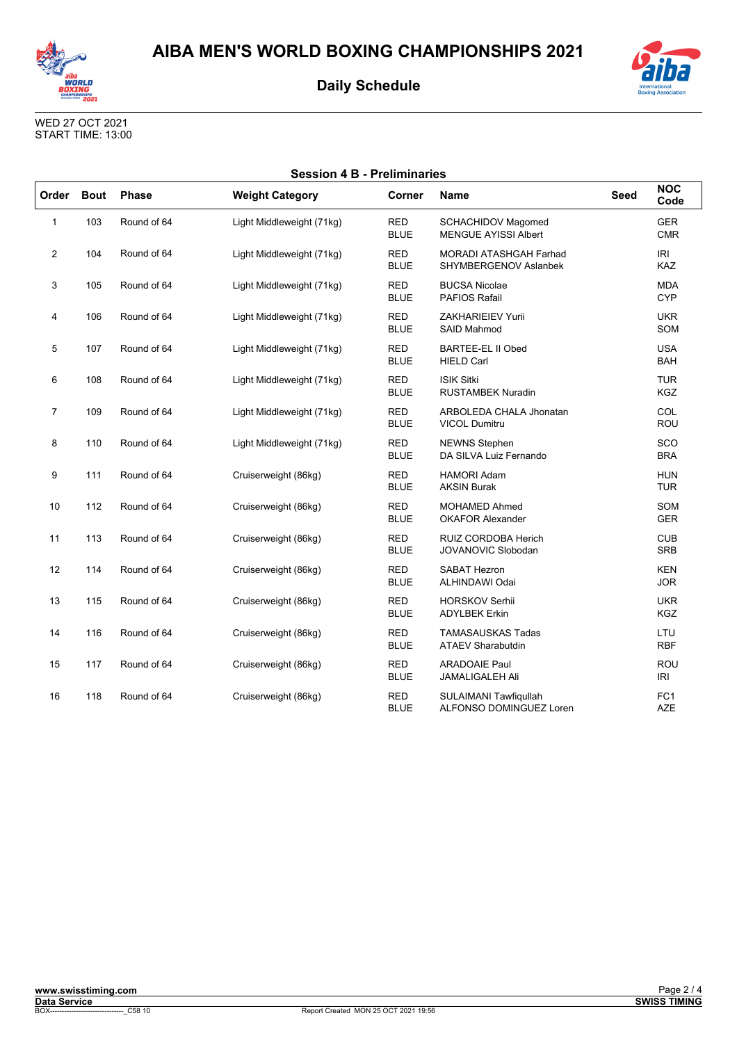



| <b>International</b><br><b>Boxing Association</b> |
|---------------------------------------------------|

| <b>Session 4 B - Preliminaries</b> |             |              |                           |                           |                                                          |             |                               |
|------------------------------------|-------------|--------------|---------------------------|---------------------------|----------------------------------------------------------|-------------|-------------------------------|
| Order                              | <b>Bout</b> | <b>Phase</b> | <b>Weight Category</b>    | Corner                    | <b>Name</b>                                              | <b>Seed</b> | <b>NOC</b><br>Code            |
| 1                                  | 103         | Round of 64  | Light Middleweight (71kg) | <b>RED</b><br><b>BLUE</b> | <b>SCHACHIDOV Magomed</b><br><b>MENGUE AYISSI Albert</b> |             | <b>GER</b><br><b>CMR</b>      |
| 2                                  | 104         | Round of 64  | Light Middleweight (71kg) | <b>RED</b><br><b>BLUE</b> | <b>MORADI ATASHGAH Farhad</b><br>SHYMBERGENOV Aslanbek   |             | <b>IRI</b><br><b>KAZ</b>      |
| 3                                  | 105         | Round of 64  | Light Middleweight (71kg) | RED<br><b>BLUE</b>        | <b>BUCSA Nicolae</b><br><b>PAFIOS Rafail</b>             |             | <b>MDA</b><br><b>CYP</b>      |
| 4                                  | 106         | Round of 64  | Light Middleweight (71kg) | <b>RED</b><br><b>BLUE</b> | <b>ZAKHARIEIEV Yurii</b><br>SAID Mahmod                  |             | <b>UKR</b><br>SOM             |
| 5                                  | 107         | Round of 64  | Light Middleweight (71kg) | <b>RED</b><br><b>BLUE</b> | <b>BARTEE-EL II Obed</b><br><b>HIELD Carl</b>            |             | <b>USA</b><br><b>BAH</b>      |
| 6                                  | 108         | Round of 64  | Light Middleweight (71kg) | <b>RED</b><br><b>BLUE</b> | <b>ISIK Sitki</b><br><b>RUSTAMBEK Nuradin</b>            |             | <b>TUR</b><br><b>KGZ</b>      |
| $\overline{7}$                     | 109         | Round of 64  | Light Middleweight (71kg) | <b>RED</b><br><b>BLUE</b> | ARBOLEDA CHALA Jhonatan<br><b>VICOL Dumitru</b>          |             | COL<br>ROU                    |
| 8                                  | 110         | Round of 64  | Light Middleweight (71kg) | <b>RED</b><br><b>BLUE</b> | <b>NEWNS Stephen</b><br>DA SILVA Luiz Fernando           |             | SCO<br><b>BRA</b>             |
| 9                                  | 111         | Round of 64  | Cruiserweight (86kg)      | RED<br><b>BLUE</b>        | <b>HAMORI Adam</b><br><b>AKSIN Burak</b>                 |             | <b>HUN</b><br><b>TUR</b>      |
| 10                                 | 112         | Round of 64  | Cruiserweight (86kg)      | <b>RED</b><br><b>BLUE</b> | <b>MOHAMED Ahmed</b><br><b>OKAFOR Alexander</b>          |             | SOM<br><b>GER</b>             |
| 11                                 | 113         | Round of 64  | Cruiserweight (86kg)      | <b>RED</b><br><b>BLUE</b> | RUIZ CORDOBA Herich<br><b>JOVANOVIC Slobodan</b>         |             | <b>CUB</b><br><b>SRB</b>      |
| 12                                 | 114         | Round of 64  | Cruiserweight (86kg)      | <b>RED</b><br><b>BLUE</b> | <b>SABAT Hezron</b><br>ALHINDAWI Odai                    |             | <b>KEN</b><br><b>JOR</b>      |
| 13                                 | 115         | Round of 64  | Cruiserweight (86kg)      | <b>RED</b><br><b>BLUE</b> | <b>HORSKOV Serhii</b><br><b>ADYLBEK Erkin</b>            |             | <b>UKR</b><br><b>KGZ</b>      |
| 14                                 | 116         | Round of 64  | Cruiserweight (86kg)      | <b>RED</b><br><b>BLUE</b> | <b>TAMASAUSKAS Tadas</b><br><b>ATAEV Sharabutdin</b>     |             | LTU<br><b>RBF</b>             |
| 15                                 | 117         | Round of 64  | Cruiserweight (86kg)      | <b>RED</b><br><b>BLUE</b> | <b>ARADOAIE Paul</b><br><b>JAMALIGALEH Ali</b>           |             | ROU<br>IRI                    |
| 16                                 | 118         | Round of 64  | Cruiserweight (86kg)      | <b>RED</b><br><b>BLUE</b> | SULAIMANI Tawfiqullah<br>ALFONSO DOMINGUEZ Loren         |             | FC <sub>1</sub><br><b>AZE</b> |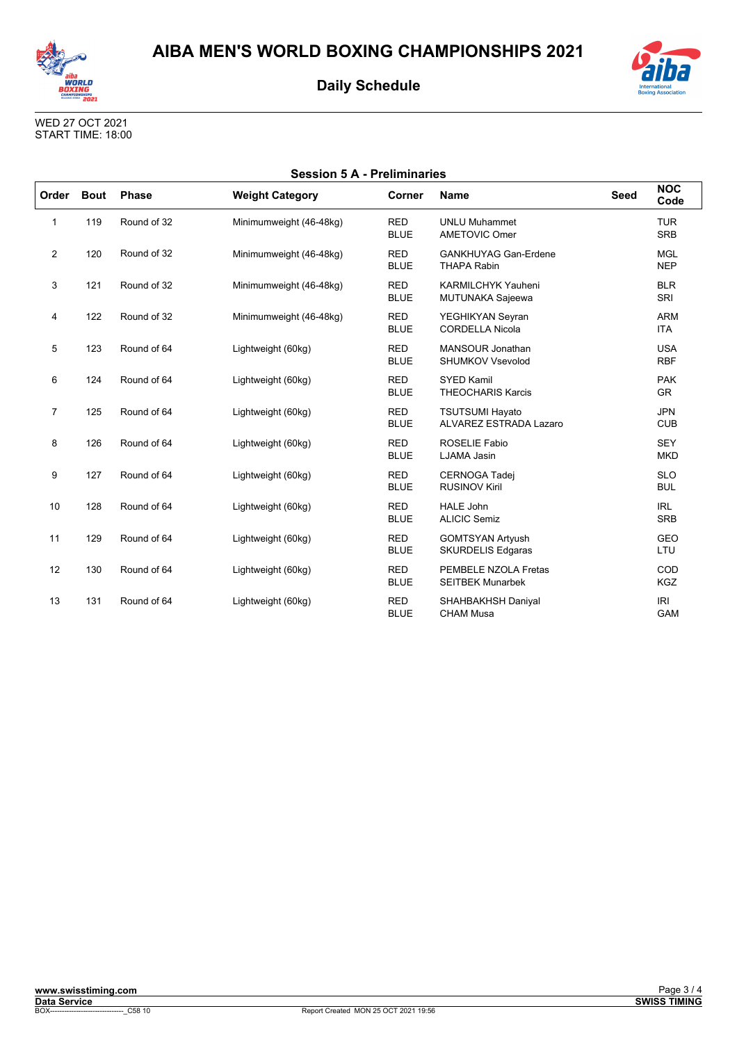



| <b>International</b><br><b>Boxing Association</b> |
|---------------------------------------------------|

| <b>Session 5 A - Preliminaries</b> |             |              |                         |                           |                                                      |             |                          |
|------------------------------------|-------------|--------------|-------------------------|---------------------------|------------------------------------------------------|-------------|--------------------------|
| Order                              | <b>Bout</b> | <b>Phase</b> | <b>Weight Category</b>  | Corner                    | <b>Name</b>                                          | <b>Seed</b> | <b>NOC</b><br>Code       |
| $\mathbf 1$                        | 119         | Round of 32  | Minimumweight (46-48kg) | <b>RED</b><br><b>BLUE</b> | <b>UNLU Muhammet</b><br><b>AMETOVIC Omer</b>         |             | <b>TUR</b><br><b>SRB</b> |
| $\overline{2}$                     | 120         | Round of 32  | Minimumweight (46-48kg) | <b>RED</b><br><b>BLUE</b> | <b>GANKHUYAG Gan-Erdene</b><br><b>THAPA Rabin</b>    |             | <b>MGL</b><br><b>NEP</b> |
| 3                                  | 121         | Round of 32  | Minimumweight (46-48kg) | <b>RED</b><br><b>BLUE</b> | <b>KARMILCHYK Yauheni</b><br><b>MUTUNAKA Sajeewa</b> |             | <b>BLR</b><br>SRI        |
| 4                                  | 122         | Round of 32  | Minimumweight (46-48kg) | <b>RED</b><br><b>BLUE</b> | YEGHIKYAN Seyran<br><b>CORDELLA Nicola</b>           |             | <b>ARM</b><br><b>ITA</b> |
| 5                                  | 123         | Round of 64  | Lightweight (60kg)      | <b>RED</b><br><b>BLUE</b> | MANSOUR Jonathan<br><b>SHUMKOV Vsevolod</b>          |             | <b>USA</b><br><b>RBF</b> |
| 6                                  | 124         | Round of 64  | Lightweight (60kg)      | <b>RED</b><br><b>BLUE</b> | <b>SYED Kamil</b><br><b>THEOCHARIS Karcis</b>        |             | <b>PAK</b><br><b>GR</b>  |
| $\overline{7}$                     | 125         | Round of 64  | Lightweight (60kg)      | <b>RED</b><br><b>BLUE</b> | <b>TSUTSUMI Hayato</b><br>ALVAREZ ESTRADA Lazaro     |             | <b>JPN</b><br><b>CUB</b> |
| 8                                  | 126         | Round of 64  | Lightweight (60kg)      | <b>RED</b><br><b>BLUE</b> | <b>ROSELIE Fabio</b><br>LJAMA Jasin                  |             | <b>SEY</b><br><b>MKD</b> |
| 9                                  | 127         | Round of 64  | Lightweight (60kg)      | <b>RED</b><br><b>BLUE</b> | <b>CERNOGA Tadej</b><br><b>RUSINOV Kiril</b>         |             | <b>SLO</b><br><b>BUL</b> |
| 10                                 | 128         | Round of 64  | Lightweight (60kg)      | <b>RED</b><br><b>BLUE</b> | <b>HALE John</b><br><b>ALICIC Semiz</b>              |             | <b>IRL</b><br><b>SRB</b> |
| 11                                 | 129         | Round of 64  | Lightweight (60kg)      | <b>RED</b><br><b>BLUE</b> | <b>GOMTSYAN Artyush</b><br><b>SKURDELIS Edgaras</b>  |             | <b>GEO</b><br>LTU        |
| 12                                 | 130         | Round of 64  | Lightweight (60kg)      | <b>RED</b><br><b>BLUE</b> | PEMBELE NZOLA Fretas<br><b>SEITBEK Munarbek</b>      |             | COD<br><b>KGZ</b>        |
| 13                                 | 131         | Round of 64  | Lightweight (60kg)      | <b>RED</b><br><b>BLUE</b> | SHAHBAKHSH Daniyal<br><b>CHAM Musa</b>               |             | <b>IRI</b><br><b>GAM</b> |

CHAM Musa